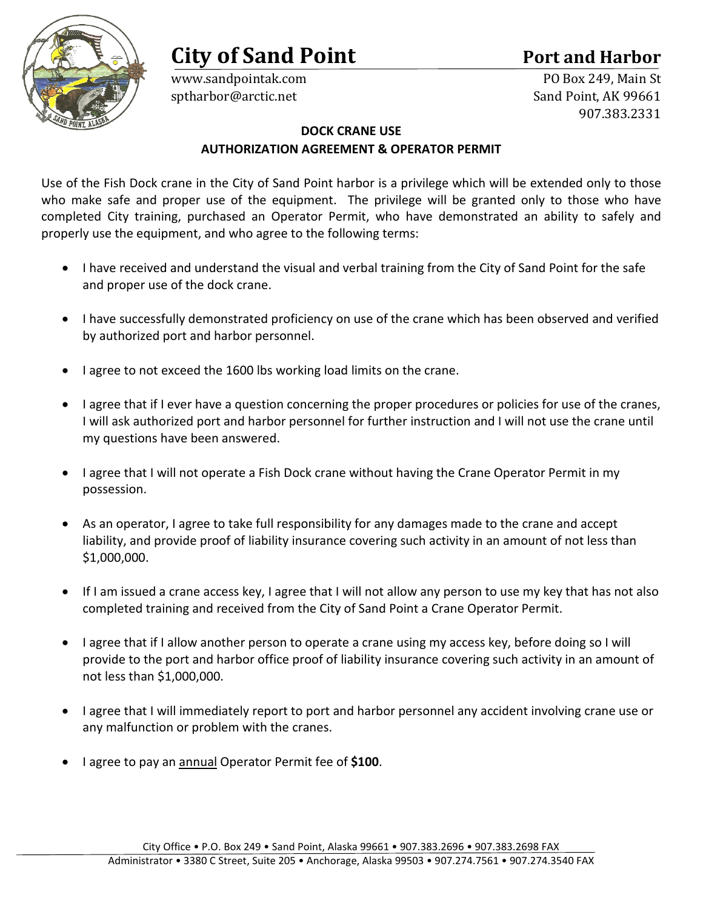# **City of Sand Point Port and Harbor**



sptharbor@arctic.net

www.sandpointak.com PO Box 249, Main St<br>sprharbor@arctic.net Sand Point. AK 99661 907.383.2331

## **DOCK CRANE USE**

## **AUTHORIZATION AGREEMENT & OPERATOR PERMIT**

Use of the Fish Dock crane in the City of Sand Point harbor is a privilege which will be extended only to those who make safe and proper use of the equipment. The privilege will be granted only to those who have completed City training, purchased an Operator Permit, who have demonstrated an ability to safely and properly use the equipment, and who agree to the following terms:

- I have received and understand the visual and verbal training from the City of Sand Point for the safe and proper use of the dock crane.
- I have successfully demonstrated proficiency on use of the crane which has been observed and verified by authorized port and harbor personnel.
- I agree to not exceed the 1600 lbs working load limits on the crane.
- I agree that if I ever have a question concerning the proper procedures or policies for use of the cranes, I will ask authorized port and harbor personnel for further instruction and I will not use the crane until my questions have been answered.
- I agree that I will not operate a Fish Dock crane without having the Crane Operator Permit in my possession.
- As an operator, I agree to take full responsibility for any damages made to the crane and accept liability, and provide proof of liability insurance covering such activity in an amount of not less than \$1,000,000.
- If I am issued a crane access key, I agree that I will not allow any person to use my key that has not also completed training and received from the City of Sand Point a Crane Operator Permit.
- I agree that if I allow another person to operate a crane using my access key, before doing so I will provide to the port and harbor office proof of liability insurance covering such activity in an amount of not less than \$1,000,000.
- I agree that I will immediately report to port and harbor personnel any accident involving crane use or any malfunction or problem with the cranes.
- I agree to pay an annual Operator Permit fee of **\$100**.